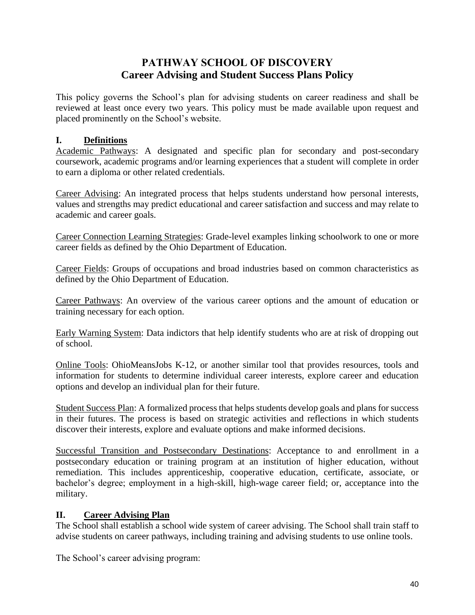# **PATHWAY SCHOOL OF DISCOVERY Career Advising and Student Success Plans Policy**

This policy governs the School's plan for advising students on career readiness and shall be reviewed at least once every two years. This policy must be made available upon request and placed prominently on the School's website.

# **I. Definitions**

Academic Pathways: A designated and specific plan for secondary and post-secondary coursework, academic programs and/or learning experiences that a student will complete in order to earn a diploma or other related credentials.

Career Advising: An integrated process that helps students understand how personal interests, values and strengths may predict educational and career satisfaction and success and may relate to academic and career goals.

Career Connection Learning Strategies: Grade-level examples linking schoolwork to one or more career fields as defined by the Ohio Department of Education.

Career Fields: Groups of occupations and broad industries based on common characteristics as defined by the Ohio Department of Education.

Career Pathways: An overview of the various career options and the amount of education or training necessary for each option.

Early Warning System: Data indictors that help identify students who are at risk of dropping out of school.

Online Tools: OhioMeansJobs K-12, or another similar tool that provides resources, tools and information for students to determine individual career interests, explore career and education options and develop an individual plan for their future.

Student Success Plan: A formalized process that helps students develop goals and plans for success in their futures. The process is based on strategic activities and reflections in which students discover their interests, explore and evaluate options and make informed decisions.

Successful Transition and Postsecondary Destinations: Acceptance to and enrollment in a postsecondary education or training program at an institution of higher education, without remediation. This includes apprenticeship, cooperative education, certificate, associate, or bachelor's degree; employment in a high-skill, high-wage career field; or, acceptance into the military.

# **II. Career Advising Plan**

The School shall establish a school wide system of career advising. The School shall train staff to advise students on career pathways, including training and advising students to use online tools.

The School's career advising program: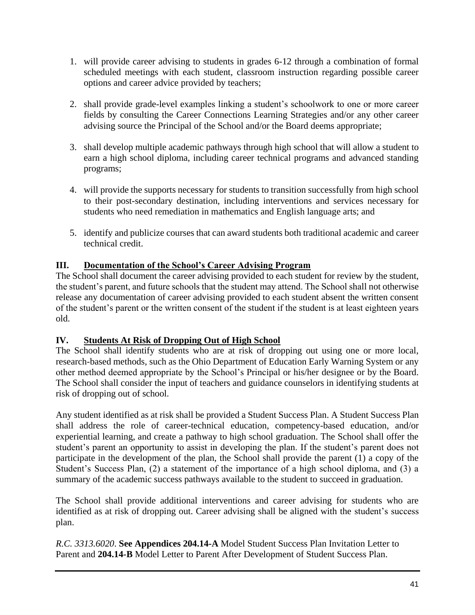- 1. will provide career advising to students in grades 6-12 through a combination of formal scheduled meetings with each student, classroom instruction regarding possible career options and career advice provided by teachers;
- 2. shall provide grade-level examples linking a student's schoolwork to one or more career fields by consulting the Career Connections Learning Strategies and/or any other career advising source the Principal of the School and/or the Board deems appropriate;
- 3. shall develop multiple academic pathways through high school that will allow a student to earn a high school diploma, including career technical programs and advanced standing programs;
- 4. will provide the supports necessary for students to transition successfully from high school to their post-secondary destination, including interventions and services necessary for students who need remediation in mathematics and English language arts; and
- 5. identify and publicize courses that can award students both traditional academic and career technical credit.

# **III. Documentation of the School's Career Advising Program**

The School shall document the career advising provided to each student for review by the student, the student's parent, and future schools that the student may attend. The School shall not otherwise release any documentation of career advising provided to each student absent the written consent of the student's parent or the written consent of the student if the student is at least eighteen years old.

# **IV. Students At Risk of Dropping Out of High School**

The School shall identify students who are at risk of dropping out using one or more local, research-based methods, such as the Ohio Department of Education Early Warning System or any other method deemed appropriate by the School's Principal or his/her designee or by the Board. The School shall consider the input of teachers and guidance counselors in identifying students at risk of dropping out of school.

Any student identified as at risk shall be provided a Student Success Plan. A Student Success Plan shall address the role of career-technical education, competency-based education, and/or experiential learning, and create a pathway to high school graduation. The School shall offer the student's parent an opportunity to assist in developing the plan. If the student's parent does not participate in the development of the plan, the School shall provide the parent (1) a copy of the Student's Success Plan, (2) a statement of the importance of a high school diploma, and (3) a summary of the academic success pathways available to the student to succeed in graduation.

The School shall provide additional interventions and career advising for students who are identified as at risk of dropping out. Career advising shall be aligned with the student's success plan.

*R.C. 3313.6020*. **See Appendices 204.14-A** Model Student Success Plan Invitation Letter to Parent and **204.14-B** Model Letter to Parent After Development of Student Success Plan.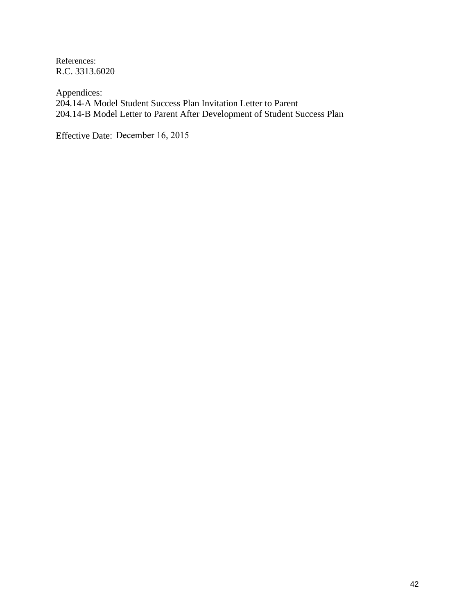References: R.C. 3313.6020

Appendices: 204.14-A Model Student Success Plan Invitation Letter to Parent 204.14-B Model Letter to Parent After Development of Student Success Plan

Effective Date: December 16, 2015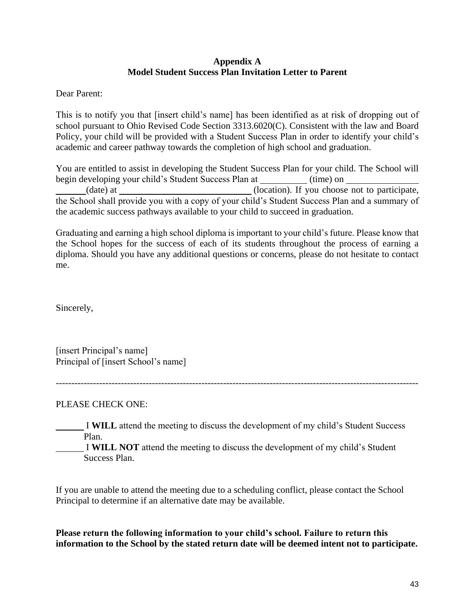### **Appendix A Model Student Success Plan Invitation Letter to Parent**

Dear Parent:

This is to notify you that [insert child's name] has been identified as at risk of dropping out of school pursuant to Ohio Revised Code Section 3313.6020(C). Consistent with the law and Board Policy, your child will be provided with a Student Success Plan in order to identify your child's academic and career pathway towards the completion of high school and graduation.

You are entitled to assist in developing the Student Success Plan for your child. The School will begin developing your child's Student Success Plan at (time) on (date) at \_\_\_\_\_\_\_\_\_\_\_\_\_\_\_\_\_\_\_\_\_\_\_(location). If you choose not to participate, the School shall provide you with a copy of your child's Student Success Plan and a summary of the academic success pathways available to your child to succeed in graduation.

Graduating and earning a high school diploma is important to your child's future. Please know that the School hopes for the success of each of its students throughout the process of earning a diploma. Should you have any additional questions or concerns, please do not hesitate to contact me.

Sincerely,

[insert Principal's name] Principal of [insert School's name]

PLEASE CHECK ONE:

I **WILL** attend the meeting to discuss the development of my child's Student Success Plan.

---------------------------------------------------------------------------------------------------------------------

I **WILL NOT** attend the meeting to discuss the development of my child's Student Success Plan.

If you are unable to attend the meeting due to a scheduling conflict, please contact the School Principal to determine if an alternative date may be available.

**Please return the following information to your child's school. Failure to return this information to the School by the stated return date will be deemed intent not to participate.**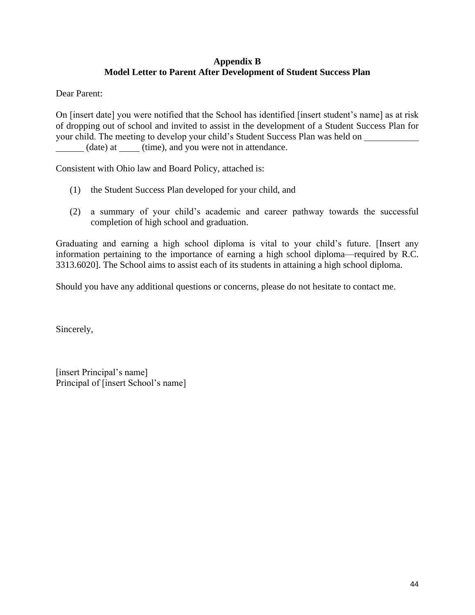# **Appendix B Model Letter to Parent After Development of Student Success Plan**

Dear Parent:

On [insert date] you were notified that the School has identified [insert student's name] as at risk of dropping out of school and invited to assist in the development of a Student Success Plan for your child. The meeting to develop your child's Student Success Plan was held on (date) at \_\_\_\_\_\_ (time), and you were not in attendance.

Consistent with Ohio law and Board Policy, attached is:

- (1) the Student Success Plan developed for your child, and
- (2) a summary of your child's academic and career pathway towards the successful completion of high school and graduation.

Graduating and earning a high school diploma is vital to your child's future. [Insert any information pertaining to the importance of earning a high school diploma—required by R.C. 3313.6020]. The School aims to assist each of its students in attaining a high school diploma.

Should you have any additional questions or concerns, please do not hesitate to contact me.

Sincerely,

[insert Principal's name] Principal of [insert School's name]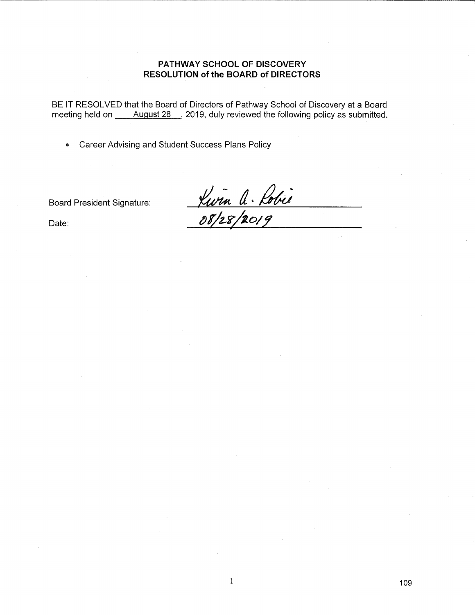### PATHWAY SCHOOL OF DISCOVERY **RESOLUTION of the BOARD of DIRECTORS**

Career Advising and Student Success Plans Policy  $\bullet$ 

**Board President Signature:** 

<u>Vurn A. Robie</u>

Date: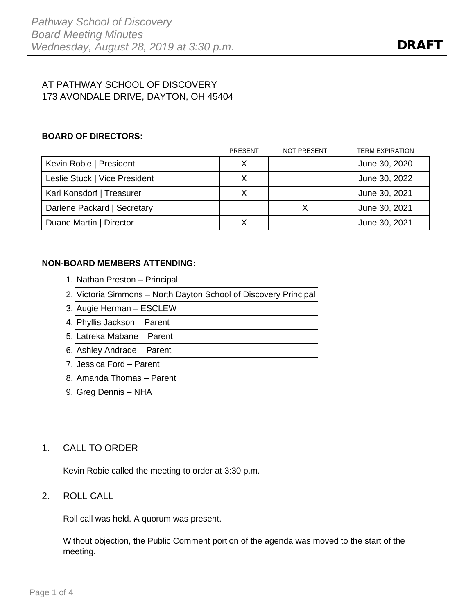# AT PATHWAY SCHOOL OF DISCOVERY 173 AVONDALE DRIVE, DAYTON, OH 45404

### **BOARD OF DIRECTORS:**

|                               | <b>PRESENT</b> | <b>NOT PRESENT</b> | <b>TERM EXPIRATION</b> |
|-------------------------------|----------------|--------------------|------------------------|
| Kevin Robie   President       |                |                    | June 30, 2020          |
| Leslie Stuck   Vice President |                |                    | June 30, 2022          |
| Karl Konsdorf   Treasurer     |                |                    | June 30, 2021          |
| Darlene Packard   Secretary   |                |                    | June 30, 2021          |
| Duane Martin   Director       |                |                    | June 30, 2021          |

### **NON-BOARD MEMBERS ATTENDING:**

- 1. Nathan Preston Principal
- 2. Victoria Simmons North Dayton School of Discovery Principal
- 3. Augie Herman ESCLEW
- 4. Phyllis Jackson Parent
- 5. Latreka Mabane Parent
- 6. Ashley Andrade Parent
- 7. Jessica Ford Parent
- 8. Amanda Thomas Parent
- 9. Greg Dennis NHA

# 1. CALL TO ORDER

Kevin Robie called the meeting to order at 3:30 p.m.

### 2. ROLL CALL

Roll call was held. A quorum was present.

Without objection, the Public Comment portion of the agenda was moved to the start of the meeting.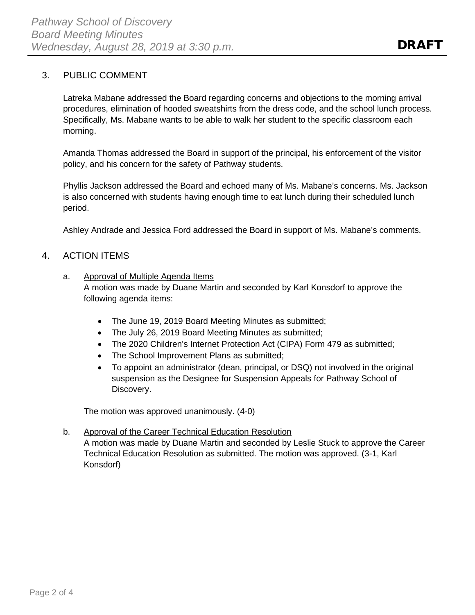# 3. PUBLIC COMMENT

Latreka Mabane addressed the Board regarding concerns and objections to the morning arrival procedures, elimination of hooded sweatshirts from the dress code, and the school lunch process. Specifically, Ms. Mabane wants to be able to walk her student to the specific classroom each morning.

Amanda Thomas addressed the Board in support of the principal, his enforcement of the visitor policy, and his concern for the safety of Pathway students.

Phyllis Jackson addressed the Board and echoed many of Ms. Mabane's concerns. Ms. Jackson is also concerned with students having enough time to eat lunch during their scheduled lunch period.

Ashley Andrade and Jessica Ford addressed the Board in support of Ms. Mabane's comments.

# 4. ACTION ITEMS

- a. Approval of Multiple Agenda Items A motion was made by Duane Martin and seconded by Karl Konsdorf to approve the following agenda items:
	- The June 19, 2019 Board Meeting Minutes as submitted;
	- The July 26, 2019 Board Meeting Minutes as submitted;
	- The 2020 Children's Internet Protection Act (CIPA) Form 479 as submitted;
	- The School Improvement Plans as submitted;
	- To appoint an administrator (dean, principal, or DSQ) not involved in the original suspension as the Designee for Suspension Appeals for Pathway School of Discovery.

The motion was approved unanimously. (4-0)

# b. Approval of the Career Technical Education Resolution

A motion was made by Duane Martin and seconded by Leslie Stuck to approve the Career Technical Education Resolution as submitted. The motion was approved. (3-1, Karl Konsdorf)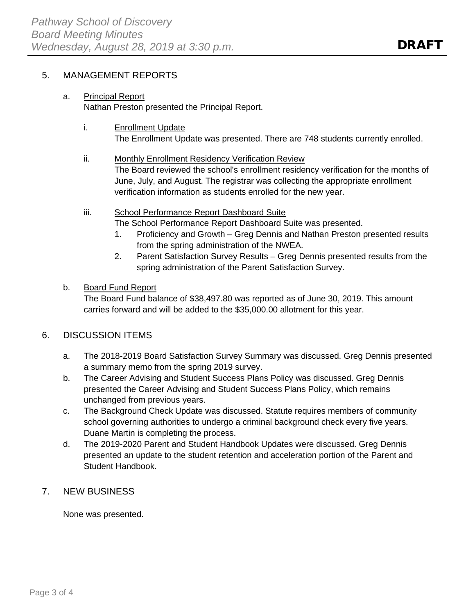# 5. MANAGEMENT REPORTS

### a. Principal Report

Nathan Preston presented the Principal Report.

i. **Enrollment Update** 

The Enrollment Update was presented. There are 748 students currently enrolled.

- ii. Monthly Enrollment Residency Verification Review The Board reviewed the school's enrollment residency verification for the months of June, July, and August. The registrar was collecting the appropriate enrollment verification information as students enrolled for the new year.
- iii. School Performance Report Dashboard Suite

The School Performance Report Dashboard Suite was presented.

- 1. Proficiency and Growth Greg Dennis and Nathan Preston presented results from the spring administration of the NWEA.
- 2. Parent Satisfaction Survey Results Greg Dennis presented results from the spring administration of the Parent Satisfaction Survey.
- b. Board Fund Report

The Board Fund balance of \$38,497.80 was reported as of June 30, 2019. This amount carries forward and will be added to the \$35,000.00 allotment for this year.

# 6. DISCUSSION ITEMS

- a. The 2018-2019 Board Satisfaction Survey Summary was discussed. Greg Dennis presented a summary memo from the spring 2019 survey.
- b. The Career Advising and Student Success Plans Policy was discussed. Greg Dennis presented the Career Advising and Student Success Plans Policy, which remains unchanged from previous years.
- c. The Background Check Update was discussed. Statute requires members of community school governing authorities to undergo a criminal background check every five years. Duane Martin is completing the process.
- d. The 2019-2020 Parent and Student Handbook Updates were discussed. Greg Dennis presented an update to the student retention and acceleration portion of the Parent and Student Handbook.
- 7. NEW BUSINESS

None was presented.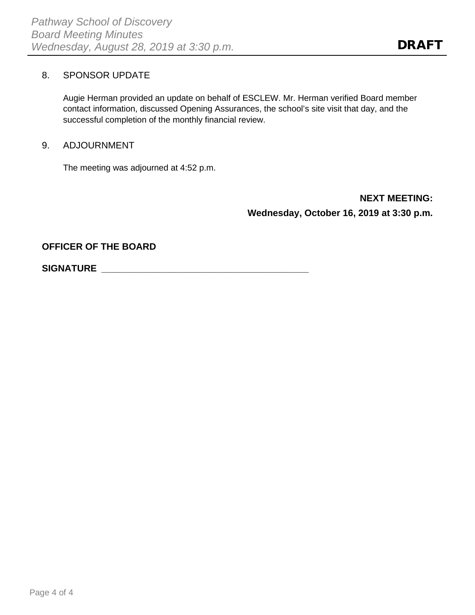# 8. SPONSOR UPDATE

Augie Herman provided an update on behalf of ESCLEW. Mr. Herman verified Board member contact information, discussed Opening Assurances, the school's site visit that day, and the successful completion of the monthly financial review.

### 9. ADJOURNMENT

The meeting was adjourned at 4:52 p.m.

**NEXT MEETING: Wednesday, October 16, 2019 at 3:30 p.m.**

**OFFICER OF THE BOARD**

**SIGNATURE \_\_\_\_\_\_\_\_\_\_\_\_\_\_\_\_\_\_\_\_\_\_\_\_\_\_\_\_\_\_\_\_\_\_\_\_\_\_\_\_**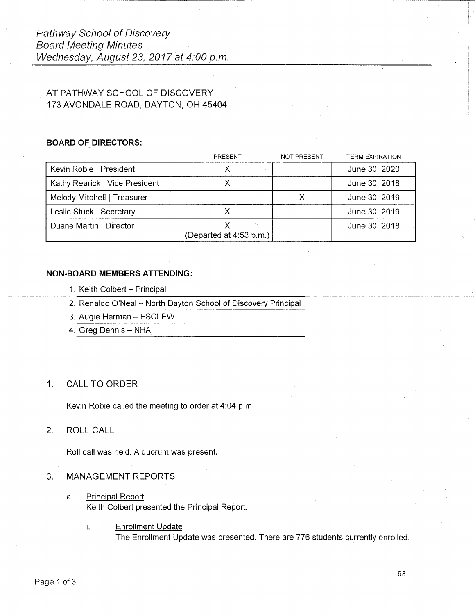# Pathway School of Discovery **Board Meeting Minutes** Wednesday, August 23, 2017 at 4:00 p.m.

# AT PATHWAY SCHOOL OF DISCOVERY 173 AVONDALE ROAD, DAYTON, OH 45404

### **BOARD OF DIRECTORS:**

|                                | PRESENT                 | <b>NOT PRESENT</b> | <b>TERM EXPIRATION</b> |
|--------------------------------|-------------------------|--------------------|------------------------|
| Kevin Robie   President        |                         |                    | June 30, 2020          |
| Kathy Rearick   Vice President |                         |                    | June 30, 2018          |
| Melody Mitchell   Treasurer    | $\mathbf{r}$            |                    | June 30, 2019          |
| Leslie Stuck   Secretary       |                         |                    | June 30, 2019          |
| Duane Martin   Director        | (Departed at 4:53 p.m.) |                    | June 30, 2018          |

### **NON-BOARD MEMBERS ATTENDING:**

- 1. Keith Colbert Principal
- 2. Renaldo O'Neal North Dayton School of Discovery Principal
- 3. Augie Herman ESCLEW
- 4. Greg Dennis NHA

#### $1.$ **CALL TO ORDER**

Kevin Robie called the meeting to order at 4:04 p.m.

#### $2.$ ROLL CALL

Roll call was held. A quorum was present.

#### **MANAGEMENT REPORTS** 3.

**Principal Report** a. Keith Colbert presented the Principal Report.

> ì. **Enrollment Update** The Enrollment Update was presented. There are 776 students currently enrolled.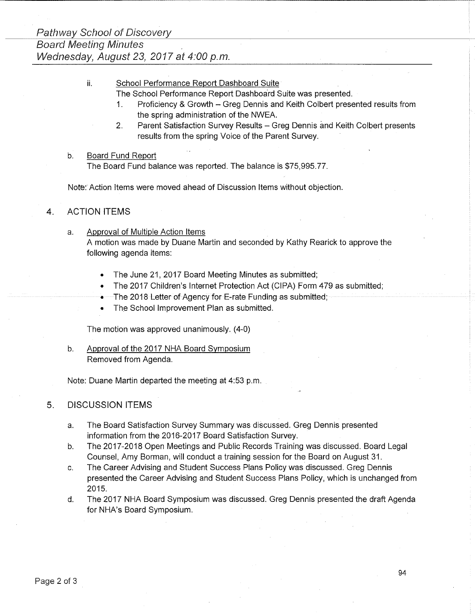School Performance Report Dashboard Suite ii.

The School Performance Report Dashboard Suite was presented.

- Proficiency & Growth Greg Dennis and Keith Colbert presented results from  $\mathbf{1}$ . the spring administration of the NWEA.
- $2.$ Parent Satisfaction Survey Results - Greg Dennis and Keith Colbert presents results from the spring Voice of the Parent Survev.

#### **Board Fund Report**  $b$ .

The Board Fund balance was reported. The balance is \$75,995.77.

Note: Action Items were moved ahead of Discussion Items without objection.

#### **ACTION ITEMS**  $\mathbf{A}$

- Approval of Multiple Action Items a. A motion was made by Duane Martin and seconded by Kathy Rearick to approve the following agenda items:
	- The June 21, 2017 Board Meeting Minutes as submitted;
	- The 2017 Children's Internet Protection Act (CIPA) Form 479 as submitted;
	- The 2018 Letter of Agency for E-rate Funding as submitted;
	- The School Improvement Plan as submitted.

The motion was approved unanimously. (4-0)

 $b<sub>1</sub>$ Approval of the 2017 NHA Board Symposium Removed from Agenda.

Note: Duane Martin departed the meeting at 4:53 p.m.

#### 5. **DISCUSSION ITEMS**

- The Board Satisfaction Survey Summary was discussed. Greg Dennis presented a. information from the 2016-2017 Board Satisfaction Survey.
- The 2017-2018 Open Meetings and Public Records Training was discussed. Board Legal  $b<sub>1</sub>$ Counsel, Amy Borman, will conduct a training session for the Board on August 31.
- The Career Advising and Student Success Plans Policy was discussed. Greg Dennis C. presented the Career Advising and Student Success Plans Policy, which is unchanged from 2015.
- d. The 2017 NHA Board Symposium was discussed. Greg Dennis presented the draft Agenda for NHA's Board Symposium.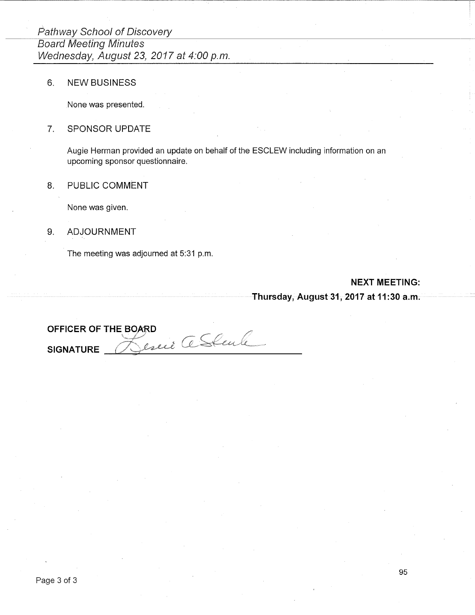6. **NEW BUSINESS** 

None was presented.

#### SPONSOR UPDATE  $7.$

Augie Herman provided an update on behalf of the ESCLEW including information on an upcoming sponsor questionnaire.

#### 8. PUBLIC COMMENT

None was given.

#### 9. **ADJOURNMENT**

The meeting was adjourned at 5:31 p.m.

### **NEXT MEETING:**

### Thursday, August 31, 2017 at 11:30 a.m.

OFFICER OF THE BOARD Jesuie a Stale **SIGNATURE**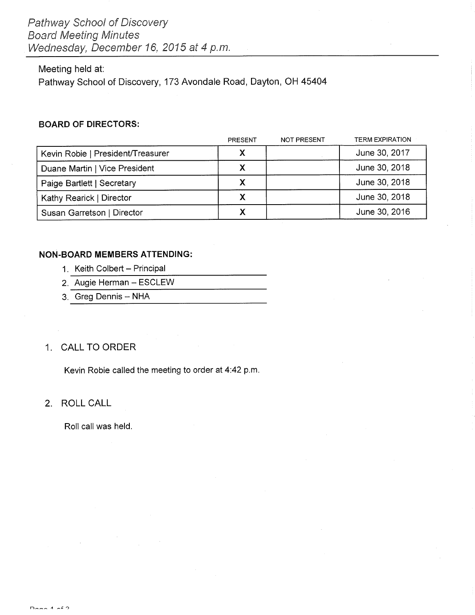### Meeting held at:

Pathway School of Discovery, 173 Avondale Road, Dayton, OH 45404

### **BOARD OF DIRECTORS:**

|                                   | <b>PRESENT</b> | <b>NOT PRESENT</b> | <b>TERM EXPIRATION</b> |
|-----------------------------------|----------------|--------------------|------------------------|
| Kevin Robie   President/Treasurer | X              |                    | June 30, 2017          |
| Duane Martin   Vice President     | Χ              |                    | June 30, 2018          |
| Paige Bartlett   Secretary        | X              |                    | June 30, 2018          |
| Kathy Rearick   Director          |                |                    | June 30, 2018          |
| Susan Garretson   Director        |                |                    | June 30, 2016          |

### **NON-BOARD MEMBERS ATTENDING:**

- 1. Keith Colbert Principal
- 2. Augie Herman ESCLEW
- 3. Greg Dennis NHA

# 1. CALL TO ORDER

Kevin Robie called the meeting to order at 4:42 p.m.

### 2. ROLL CALL

Roll call was held.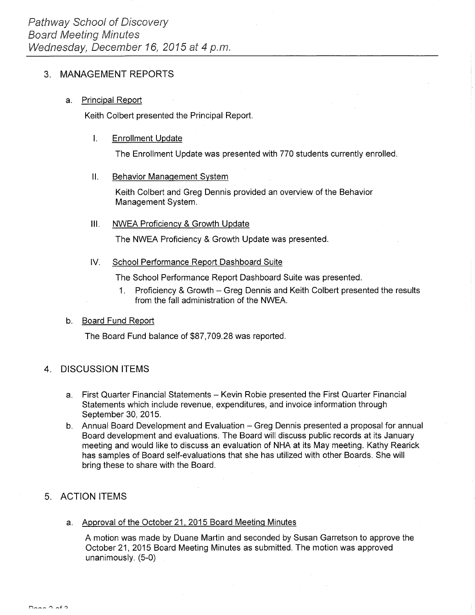#### **MANAGEMENT REPORTS**  $3<sub>1</sub>$

#### **Principal Report**  $a<sub>1</sub>$

Keith Colbert presented the Principal Report.

#### $\mathbf{L}$ **Enrollment Update**

The Enrollment Update was presented with 770 students currently enrolled.

#### **Behavior Management System** П.

Keith Colbert and Greg Dennis provided an overview of the Behavior Management System.

#### **NWEA Proficiency & Growth Update** III.

The NWEA Proficiency & Growth Update was presented.

#### School Performance Report Dashboard Suite  $W_{\cdot}$

The School Performance Report Dashboard Suite was presented.

1. Proficiency & Growth - Greg Dennis and Keith Colbert presented the results from the fall administration of the NWEA.

#### $b<sub>1</sub>$ **Board Fund Report**

The Board Fund balance of \$87,709.28 was reported.

#### **DISCUSSION ITEMS**  $4<sup>1</sup>$

- a. First Quarter Financial Statements Kevin Robie presented the First Quarter Financial Statements which include revenue, expenditures, and invoice information through September 30, 2015.
- b. Annual Board Development and Evaluation Greg Dennis presented a proposal for annual Board development and evaluations. The Board will discuss public records at its January meeting and would like to discuss an evaluation of NHA at its May meeting. Kathy Rearick has samples of Board self-evaluations that she has utilized with other Boards. She will bring these to share with the Board.

# 5. ACTION ITEMS

a. Approval of the October 21, 2015 Board Meeting Minutes

A motion was made by Duane Martin and seconded by Susan Garretson to approve the October 21, 2015 Board Meeting Minutes as submitted. The motion was approved unanimously. (5-0)